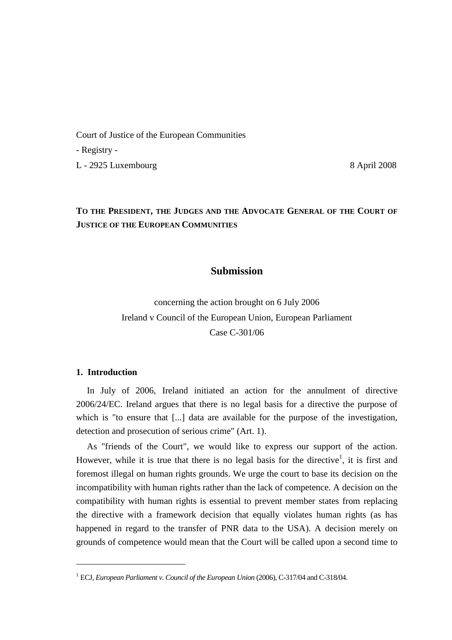Court of Justice of the European Communities

- Registry -

L - 2925 Luxembourg 8 April 2008

# **TO THE PRESIDENT, THE JUDGES AND THE ADVOCATE GENERAL OF THE COURT OF JUSTICE OF THE EUROPEAN COMMUNITIES**

## **Submission**

concerning the action brought on 6 July 2006 Ireland v Council of the European Union, European Parliament Case C-301/06

#### **1. Introduction**

 $\overline{a}$ 

In July of 2006, Ireland initiated an action for the annulment of directive 2006/24/EC. Ireland argues that there is no legal basis for a directive the purpose of which is "to ensure that [...] data are available for the purpose of the investigation, detection and prosecution of serious crime" (Art. 1).

As "friends of the Court", we would like to express our support of the action. However, while it is true that there is no legal basis for the directive<sup>1</sup>, it is first and foremost illegal on human rights grounds. We urge the court to base its decision on the incompatibility with human rights rather than the lack of competence. A decision on the compatibility with human rights is essential to prevent member states from replacing the directive with a framework decision that equally violates human rights (as has happened in regard to the transfer of PNR data to the USA). A decision merely on grounds of competence would mean that the Court will be called upon a second time to

<sup>&</sup>lt;sup>1</sup> ECJ, *European Parliament v. Council of the European Union* (2006), C-317/04 and C-318/04.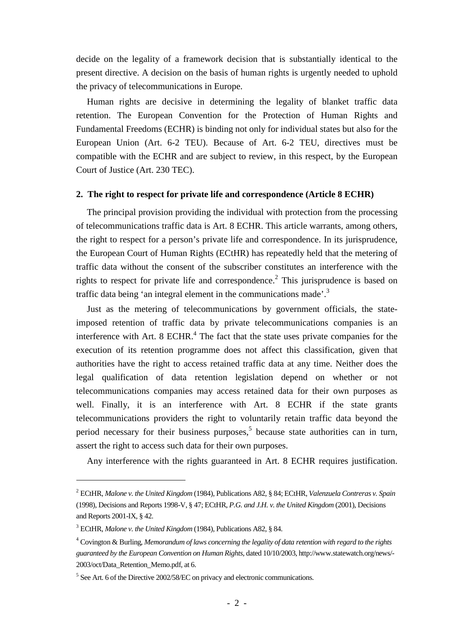decide on the legality of a framework decision that is substantially identical to the present directive. A decision on the basis of human rights is urgently needed to uphold the privacy of telecommunications in Europe.

Human rights are decisive in determining the legality of blanket traffic data retention. The European Convention for the Protection of Human Rights and Fundamental Freedoms (ECHR) is binding not only for individual states but also for the European Union (Art. 6-2 TEU). Because of Art. 6-2 TEU, directives must be compatible with the ECHR and are subject to review, in this respect, by the European Court of Justice (Art. 230 TEC).

#### **2. The right to respect for private life and correspondence (Article 8 ECHR)**

The principal provision providing the individual with protection from the processing of telecommunications traffic data is Art. 8 ECHR. This article warrants, among others, the right to respect for a person's private life and correspondence. In its jurisprudence, the European Court of Human Rights (ECtHR) has repeatedly held that the metering of traffic data without the consent of the subscriber constitutes an interference with the rights to respect for private life and correspondence.<sup>2</sup> This jurisprudence is based on traffic data being 'an integral element in the communications made'.<sup>3</sup>

Just as the metering of telecommunications by government officials, the stateimposed retention of traffic data by private telecommunications companies is an interference with Art. 8 ECHR. $<sup>4</sup>$  The fact that the state uses private companies for the</sup> execution of its retention programme does not affect this classification, given that authorities have the right to access retained traffic data at any time. Neither does the legal qualification of data retention legislation depend on whether or not telecommunications companies may access retained data for their own purposes as well. Finally, it is an interference with Art. 8 ECHR if the state grants telecommunications providers the right to voluntarily retain traffic data beyond the period necessary for their business purposes, because state authorities can in turn, assert the right to access such data for their own purposes.

Any interference with the rights guaranteed in Art. 8 ECHR requires justification.

<sup>2</sup> ECtHR, *Malone v. the United Kingdom* (1984), Publications A82, § 84; ECtHR, *Valenzuela Contreras v. Spain* (1998), Decisions and Reports 1998-V, § 47; ECtHR, *P.G. and J.H. v. the United Kingdom* (2001), Decisions and Reports 2001-IX, § 42.

<sup>3</sup> ECtHR, *Malone v. the United Kingdom* (1984), Publications A82, § 84.

<sup>4</sup> Covington & Burling, *Memorandum of laws concerning the legality of data retention with regard to the rights guaranteed by the European Convention on Human Rights*, dated 10/10/2003, http://www.statewatch.org/news/- 2003/oct/Data\_Retention\_Memo.pdf, at 6.

<sup>&</sup>lt;sup>5</sup> See Art. 6 of the Directive 2002/58/EC on privacy and electronic communications.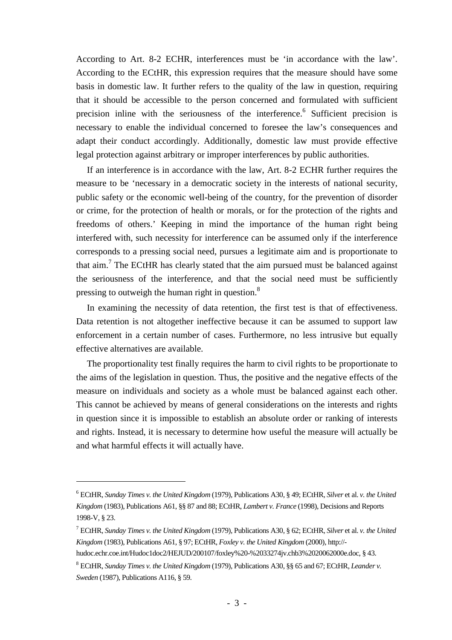According to Art. 8-2 ECHR, interferences must be 'in accordance with the law'. According to the ECtHR, this expression requires that the measure should have some basis in domestic law. It further refers to the quality of the law in question, requiring that it should be accessible to the person concerned and formulated with sufficient precision inline with the seriousness of the interference.<sup>6</sup> Sufficient precision is necessary to enable the individual concerned to foresee the law's consequences and adapt their conduct accordingly. Additionally, domestic law must provide effective legal protection against arbitrary or improper interferences by public authorities.

If an interference is in accordance with the law, Art. 8-2 ECHR further requires the measure to be 'necessary in a democratic society in the interests of national security, public safety or the economic well-being of the country, for the prevention of disorder or crime, for the protection of health or morals, or for the protection of the rights and freedoms of others.' Keeping in mind the importance of the human right being interfered with, such necessity for interference can be assumed only if the interference corresponds to a pressing social need, pursues a legitimate aim and is proportionate to that aim.<sup>7</sup> The ECtHR has clearly stated that the aim pursued must be balanced against the seriousness of the interference, and that the social need must be sufficiently pressing to outweigh the human right in question.<sup>8</sup>

In examining the necessity of data retention, the first test is that of effectiveness. Data retention is not altogether ineffective because it can be assumed to support law enforcement in a certain number of cases. Furthermore, no less intrusive but equally effective alternatives are available.

The proportionality test finally requires the harm to civil rights to be proportionate to the aims of the legislation in question. Thus, the positive and the negative effects of the measure on individuals and society as a whole must be balanced against each other. This cannot be achieved by means of general considerations on the interests and rights in question since it is impossible to establish an absolute order or ranking of interests and rights. Instead, it is necessary to determine how useful the measure will actually be and what harmful effects it will actually have.

<sup>6</sup> ECtHR, *Sunday Times v. the United Kingdom* (1979), Publications A30, § 49; ECtHR, *Silver* et al. *v. the United Kingdom* (1983), Publications A61, §§ 87 and 88; ECtHR, *Lambert v. France* (1998), Decisions and Reports 1998-V, § 23.

<sup>7</sup> ECtHR, *Sunday Times v. the United Kingdom* (1979), Publications A30, § 62; ECtHR, *Silver* et al. *v. the United Kingdom* (1983), Publications A61, § 97; ECtHR, *Foxley v. the United Kingdom* (2000), http://-

hudoc.echr.coe.int/Hudoc1doc2/HEJUD/200107/foxley%20-%2033274jv.chb3%2020062000e.doc, § 43.

<sup>8</sup> ECtHR, *Sunday Times v. the United Kingdom* (1979), Publications A30, §§ 65 and 67; ECtHR, *Leander v. Sweden* (1987), Publications A116, § 59.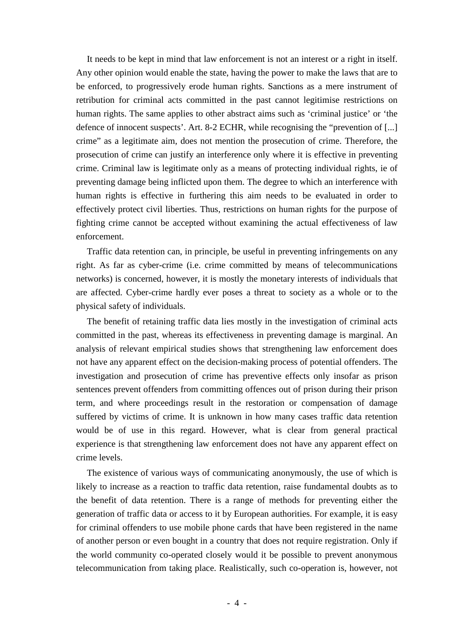It needs to be kept in mind that law enforcement is not an interest or a right in itself. Any other opinion would enable the state, having the power to make the laws that are to be enforced, to progressively erode human rights. Sanctions as a mere instrument of retribution for criminal acts committed in the past cannot legitimise restrictions on human rights. The same applies to other abstract aims such as 'criminal justice' or 'the defence of innocent suspects'. Art. 8-2 ECHR, while recognising the "prevention of [...] crime" as a legitimate aim, does not mention the prosecution of crime. Therefore, the prosecution of crime can justify an interference only where it is effective in preventing crime. Criminal law is legitimate only as a means of protecting individual rights, ie of preventing damage being inflicted upon them. The degree to which an interference with human rights is effective in furthering this aim needs to be evaluated in order to effectively protect civil liberties. Thus, restrictions on human rights for the purpose of fighting crime cannot be accepted without examining the actual effectiveness of law enforcement.

Traffic data retention can, in principle, be useful in preventing infringements on any right. As far as cyber-crime (i.e. crime committed by means of telecommunications networks) is concerned, however, it is mostly the monetary interests of individuals that are affected. Cyber-crime hardly ever poses a threat to society as a whole or to the physical safety of individuals.

The benefit of retaining traffic data lies mostly in the investigation of criminal acts committed in the past, whereas its effectiveness in preventing damage is marginal. An analysis of relevant empirical studies shows that strengthening law enforcement does not have any apparent effect on the decision-making process of potential offenders. The investigation and prosecution of crime has preventive effects only insofar as prison sentences prevent offenders from committing offences out of prison during their prison term, and where proceedings result in the restoration or compensation of damage suffered by victims of crime. It is unknown in how many cases traffic data retention would be of use in this regard. However, what is clear from general practical experience is that strengthening law enforcement does not have any apparent effect on crime levels.

The existence of various ways of communicating anonymously, the use of which is likely to increase as a reaction to traffic data retention, raise fundamental doubts as to the benefit of data retention. There is a range of methods for preventing either the generation of traffic data or access to it by European authorities. For example, it is easy for criminal offenders to use mobile phone cards that have been registered in the name of another person or even bought in a country that does not require registration. Only if the world community co-operated closely would it be possible to prevent anonymous telecommunication from taking place. Realistically, such co-operation is, however, not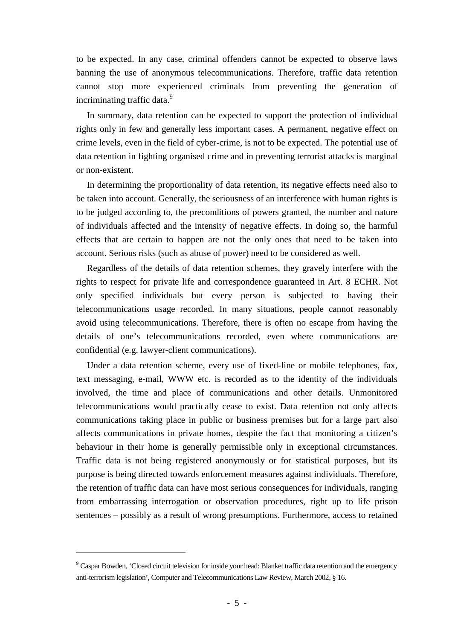to be expected. In any case, criminal offenders cannot be expected to observe laws banning the use of anonymous telecommunications. Therefore, traffic data retention cannot stop more experienced criminals from preventing the generation of incriminating traffic data.<sup>9</sup>

In summary, data retention can be expected to support the protection of individual rights only in few and generally less important cases. A permanent, negative effect on crime levels, even in the field of cyber-crime, is not to be expected. The potential use of data retention in fighting organised crime and in preventing terrorist attacks is marginal or non-existent.

In determining the proportionality of data retention, its negative effects need also to be taken into account. Generally, the seriousness of an interference with human rights is to be judged according to, the preconditions of powers granted, the number and nature of individuals affected and the intensity of negative effects. In doing so, the harmful effects that are certain to happen are not the only ones that need to be taken into account. Serious risks (such as abuse of power) need to be considered as well.

Regardless of the details of data retention schemes, they gravely interfere with the rights to respect for private life and correspondence guaranteed in Art. 8 ECHR. Not only specified individuals but every person is subjected to having their telecommunications usage recorded. In many situations, people cannot reasonably avoid using telecommunications. Therefore, there is often no escape from having the details of one's telecommunications recorded, even where communications are confidential (e.g. lawyer-client communications).

Under a data retention scheme, every use of fixed-line or mobile telephones, fax, text messaging, e-mail, WWW etc. is recorded as to the identity of the individuals involved, the time and place of communications and other details. Unmonitored telecommunications would practically cease to exist. Data retention not only affects communications taking place in public or business premises but for a large part also affects communications in private homes, despite the fact that monitoring a citizen's behaviour in their home is generally permissible only in exceptional circumstances. Traffic data is not being registered anonymously or for statistical purposes, but its purpose is being directed towards enforcement measures against individuals. Therefore, the retention of traffic data can have most serious consequences for individuals, ranging from embarrassing interrogation or observation procedures, right up to life prison sentences – possibly as a result of wrong presumptions. Furthermore, access to retained

<sup>&</sup>lt;sup>9</sup> Caspar Bowden, 'Closed circuit television for inside your head: Blanket traffic data retention and the emergency anti-terrorism legislation', Computer and Telecommunications Law Review, March 2002, § 16.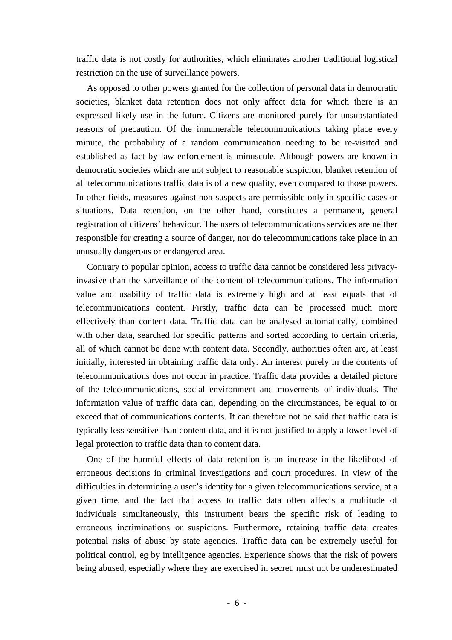traffic data is not costly for authorities, which eliminates another traditional logistical restriction on the use of surveillance powers.

As opposed to other powers granted for the collection of personal data in democratic societies, blanket data retention does not only affect data for which there is an expressed likely use in the future. Citizens are monitored purely for unsubstantiated reasons of precaution. Of the innumerable telecommunications taking place every minute, the probability of a random communication needing to be re-visited and established as fact by law enforcement is minuscule. Although powers are known in democratic societies which are not subject to reasonable suspicion, blanket retention of all telecommunications traffic data is of a new quality, even compared to those powers. In other fields, measures against non-suspects are permissible only in specific cases or situations. Data retention, on the other hand, constitutes a permanent, general registration of citizens' behaviour. The users of telecommunications services are neither responsible for creating a source of danger, nor do telecommunications take place in an unusually dangerous or endangered area.

Contrary to popular opinion, access to traffic data cannot be considered less privacyinvasive than the surveillance of the content of telecommunications. The information value and usability of traffic data is extremely high and at least equals that of telecommunications content. Firstly, traffic data can be processed much more effectively than content data. Traffic data can be analysed automatically, combined with other data, searched for specific patterns and sorted according to certain criteria, all of which cannot be done with content data. Secondly, authorities often are, at least initially, interested in obtaining traffic data only. An interest purely in the contents of telecommunications does not occur in practice. Traffic data provides a detailed picture of the telecommunications, social environment and movements of individuals. The information value of traffic data can, depending on the circumstances, be equal to or exceed that of communications contents. It can therefore not be said that traffic data is typically less sensitive than content data, and it is not justified to apply a lower level of legal protection to traffic data than to content data.

One of the harmful effects of data retention is an increase in the likelihood of erroneous decisions in criminal investigations and court procedures. In view of the difficulties in determining a user's identity for a given telecommunications service, at a given time, and the fact that access to traffic data often affects a multitude of individuals simultaneously, this instrument bears the specific risk of leading to erroneous incriminations or suspicions. Furthermore, retaining traffic data creates potential risks of abuse by state agencies. Traffic data can be extremely useful for political control, eg by intelligence agencies. Experience shows that the risk of powers being abused, especially where they are exercised in secret, must not be underestimated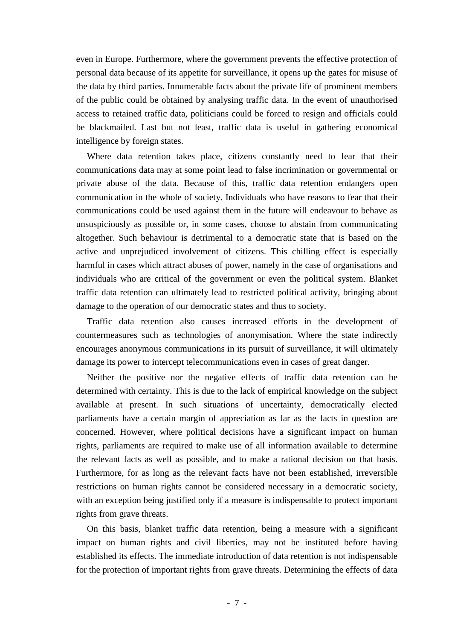even in Europe. Furthermore, where the government prevents the effective protection of personal data because of its appetite for surveillance, it opens up the gates for misuse of the data by third parties. Innumerable facts about the private life of prominent members of the public could be obtained by analysing traffic data. In the event of unauthorised access to retained traffic data, politicians could be forced to resign and officials could be blackmailed. Last but not least, traffic data is useful in gathering economical intelligence by foreign states.

Where data retention takes place, citizens constantly need to fear that their communications data may at some point lead to false incrimination or governmental or private abuse of the data. Because of this, traffic data retention endangers open communication in the whole of society. Individuals who have reasons to fear that their communications could be used against them in the future will endeavour to behave as unsuspiciously as possible or, in some cases, choose to abstain from communicating altogether. Such behaviour is detrimental to a democratic state that is based on the active and unprejudiced involvement of citizens. This chilling effect is especially harmful in cases which attract abuses of power, namely in the case of organisations and individuals who are critical of the government or even the political system. Blanket traffic data retention can ultimately lead to restricted political activity, bringing about damage to the operation of our democratic states and thus to society.

Traffic data retention also causes increased efforts in the development of countermeasures such as technologies of anonymisation. Where the state indirectly encourages anonymous communications in its pursuit of surveillance, it will ultimately damage its power to intercept telecommunications even in cases of great danger.

Neither the positive nor the negative effects of traffic data retention can be determined with certainty. This is due to the lack of empirical knowledge on the subject available at present. In such situations of uncertainty, democratically elected parliaments have a certain margin of appreciation as far as the facts in question are concerned. However, where political decisions have a significant impact on human rights, parliaments are required to make use of all information available to determine the relevant facts as well as possible, and to make a rational decision on that basis. Furthermore, for as long as the relevant facts have not been established, irreversible restrictions on human rights cannot be considered necessary in a democratic society, with an exception being justified only if a measure is indispensable to protect important rights from grave threats.

On this basis, blanket traffic data retention, being a measure with a significant impact on human rights and civil liberties, may not be instituted before having established its effects. The immediate introduction of data retention is not indispensable for the protection of important rights from grave threats. Determining the effects of data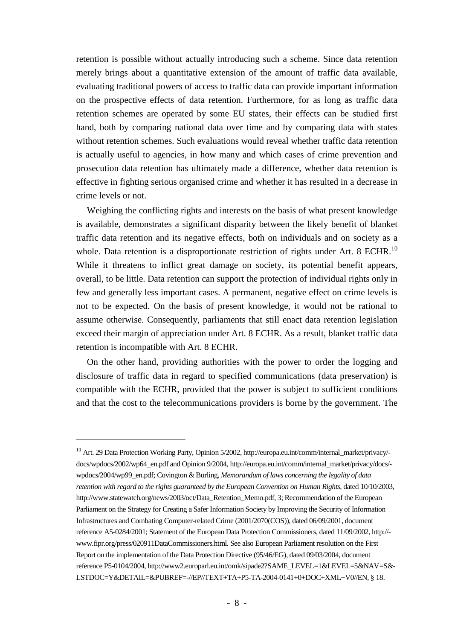retention is possible without actually introducing such a scheme. Since data retention merely brings about a quantitative extension of the amount of traffic data available, evaluating traditional powers of access to traffic data can provide important information on the prospective effects of data retention. Furthermore, for as long as traffic data retention schemes are operated by some EU states, their effects can be studied first hand, both by comparing national data over time and by comparing data with states without retention schemes. Such evaluations would reveal whether traffic data retention is actually useful to agencies, in how many and which cases of crime prevention and prosecution data retention has ultimately made a difference, whether data retention is effective in fighting serious organised crime and whether it has resulted in a decrease in crime levels or not.

Weighing the conflicting rights and interests on the basis of what present knowledge is available, demonstrates a significant disparity between the likely benefit of blanket traffic data retention and its negative effects, both on individuals and on society as a whole. Data retention is a disproportionate restriction of rights under Art. 8 ECHR.<sup>10</sup> While it threatens to inflict great damage on society, its potential benefit appears, overall, to be little. Data retention can support the protection of individual rights only in few and generally less important cases. A permanent, negative effect on crime levels is not to be expected. On the basis of present knowledge, it would not be rational to assume otherwise. Consequently, parliaments that still enact data retention legislation exceed their margin of appreciation under Art. 8 ECHR. As a result, blanket traffic data retention is incompatible with Art. 8 ECHR.

On the other hand, providing authorities with the power to order the logging and disclosure of traffic data in regard to specified communications (data preservation) is compatible with the ECHR, provided that the power is subject to sufficient conditions and that the cost to the telecommunications providers is borne by the government. The

<sup>&</sup>lt;sup>10</sup> Art. 29 Data Protection Working Party, Opinion 5/2002, http://europa.eu.int/comm/internal\_market/privacy/docs/wpdocs/2002/wp64\_en.pdf and Opinion 9/2004, http://europa.eu.int/comm/internal\_market/privacy/docs/wpdocs/2004/wp99\_en.pdf; Covington & Burling, *Memorandum of laws concerning the legality of data retention with regard to the rights guaranteed by the European Convention on Human Rights*, dated 10/10/2003, http://www.statewatch.org/news/2003/oct/Data\_Retention\_Memo.pdf, 3; Recommendation of the European Parliament on the Strategy for Creating a Safer Information Society by Improving the Security of Information Infrastructures and Combating Computer-related Crime (2001/2070(COS)), dated 06/09/2001, document reference A5-0284/2001; Statement of the European Data Protection Commissioners, dated 11/09/2002, http:// www.fipr.org/press/020911DataCommissioners.html. See also European Parliament resolution on the First Report on the implementation of the Data Protection Directive (95/46/EG), dated 09/03/2004, document reference P5-0104/2004, http://www2.europarl.eu.int/omk/sipade2?SAME\_LEVEL=1&LEVEL=5&NAV=S&- LSTDOC=Y&DETAIL=&PUBREF=-//EP//TEXT+TA+P5-TA-2004-0141+0+DOC+XML+V0//EN, § 18.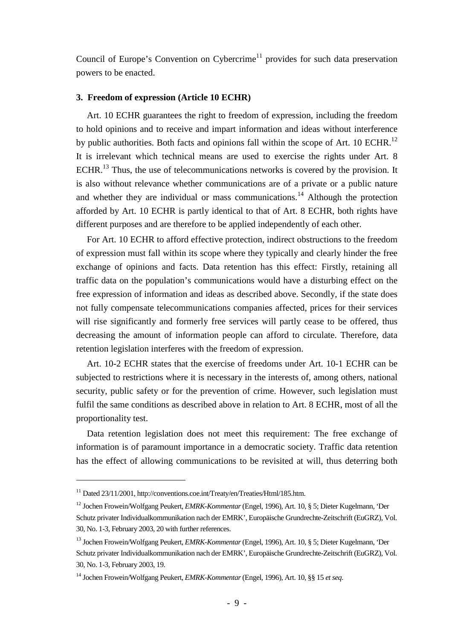Council of Europe's Convention on Cybercrime<sup>11</sup> provides for such data preservation powers to be enacted.

#### **3. Freedom of expression (Article 10 ECHR)**

Art. 10 ECHR guarantees the right to freedom of expression, including the freedom to hold opinions and to receive and impart information and ideas without interference by public authorities. Both facts and opinions fall within the scope of Art. 10 ECHR.<sup>12</sup> It is irrelevant which technical means are used to exercise the rights under Art. 8 ECHR.<sup>13</sup> Thus, the use of telecommunications networks is covered by the provision. It is also without relevance whether communications are of a private or a public nature and whether they are individual or mass communications.<sup>14</sup> Although the protection afforded by Art. 10 ECHR is partly identical to that of Art. 8 ECHR, both rights have different purposes and are therefore to be applied independently of each other.

For Art. 10 ECHR to afford effective protection, indirect obstructions to the freedom of expression must fall within its scope where they typically and clearly hinder the free exchange of opinions and facts. Data retention has this effect: Firstly, retaining all traffic data on the population's communications would have a disturbing effect on the free expression of information and ideas as described above. Secondly, if the state does not fully compensate telecommunications companies affected, prices for their services will rise significantly and formerly free services will partly cease to be offered, thus decreasing the amount of information people can afford to circulate. Therefore, data retention legislation interferes with the freedom of expression.

Art. 10-2 ECHR states that the exercise of freedoms under Art. 10-1 ECHR can be subjected to restrictions where it is necessary in the interests of, among others, national security, public safety or for the prevention of crime. However, such legislation must fulfil the same conditions as described above in relation to Art. 8 ECHR, most of all the proportionality test.

Data retention legislation does not meet this requirement: The free exchange of information is of paramount importance in a democratic society. Traffic data retention has the effect of allowing communications to be revisited at will, thus deterring both

<sup>&</sup>lt;sup>11</sup> Dated 23/11/2001, http://conventions.coe.int/Treaty/en/Treaties/Html/185.htm.

<sup>12</sup> Jochen Frowein/Wolfgang Peukert, *EMRK-Kommentar* (Engel, 1996), Art. 10, § 5; Dieter Kugelmann, 'Der Schutz privater Individualkommunikation nach der EMRK', Europäische Grundrechte-Zeitschrift (EuGRZ), Vol. 30, No. 1-3, February 2003, 20 with further references.

<sup>13</sup> Jochen Frowein/Wolfgang Peukert, *EMRK-Kommentar* (Engel, 1996), Art. 10, § 5; Dieter Kugelmann, 'Der Schutz privater Individualkommunikation nach der EMRK', Europäische Grundrechte-Zeitschrift (EuGRZ), Vol. 30, No. 1-3, February 2003, 19.

<sup>14</sup> Jochen Frowein/Wolfgang Peukert, *EMRK-Kommentar* (Engel, 1996), Art. 10, §§ 15 *et seq*.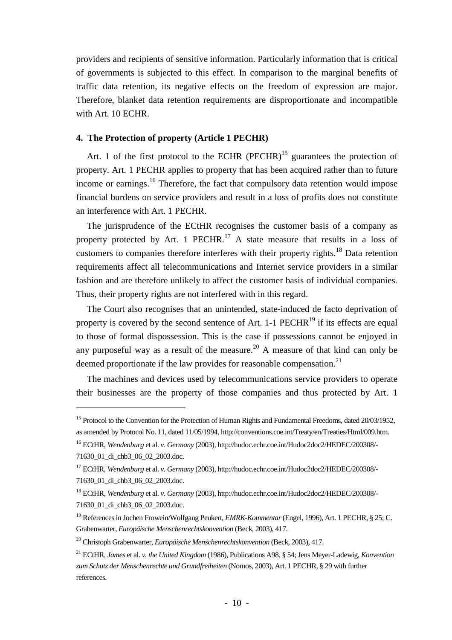providers and recipients of sensitive information. Particularly information that is critical of governments is subjected to this effect. In comparison to the marginal benefits of traffic data retention, its negative effects on the freedom of expression are major. Therefore, blanket data retention requirements are disproportionate and incompatible with Art. 10 ECHR.

### **4. The Protection of property (Article 1 PECHR)**

 $\overline{a}$ 

Art. 1 of the first protocol to the ECHR (PECHR)<sup>15</sup> guarantees the protection of property. Art. 1 PECHR applies to property that has been acquired rather than to future income or earnings.<sup>16</sup> Therefore, the fact that compulsory data retention would impose financial burdens on service providers and result in a loss of profits does not constitute an interference with Art. 1 PECHR.

The jurisprudence of the ECtHR recognises the customer basis of a company as property protected by Art. 1 PECHR.<sup>17</sup> A state measure that results in a loss of customers to companies therefore interferes with their property rights.<sup>18</sup> Data retention requirements affect all telecommunications and Internet service providers in a similar fashion and are therefore unlikely to affect the customer basis of individual companies. Thus, their property rights are not interfered with in this regard.

The Court also recognises that an unintended, state-induced de facto deprivation of property is covered by the second sentence of Art. 1-1 PECHR<sup>19</sup> if its effects are equal to those of formal dispossession. This is the case if possessions cannot be enjoyed in any purposeful way as a result of the measure.<sup>20</sup> A measure of that kind can only be deemed proportionate if the law provides for reasonable compensation.<sup>21</sup>

The machines and devices used by telecommunications service providers to operate their businesses are the property of those companies and thus protected by Art. 1

<sup>&</sup>lt;sup>15</sup> Protocol to the Convention for the Protection of Human Rights and Fundamental Freedoms, dated 20/03/1952, as amended by Protocol No. 11, dated 11/05/1994, http://conventions.coe.int/Treaty/en/Treaties/Html/009.htm.

<sup>16</sup> ECtHR, *Wendenburg* et al. *v. Germany* (2003), http://hudoc.echr.coe.int/Hudoc2doc2/HEDEC/200308/- 71630\_01\_di\_chb3\_06\_02\_2003.doc.

<sup>17</sup> ECtHR, *Wendenburg* et al. *v. Germany* (2003), http://hudoc.echr.coe.int/Hudoc2doc2/HEDEC/200308/- 71630\_01\_di\_chb3\_06\_02\_2003.doc.

<sup>18</sup> ECtHR, *Wendenburg* et al. *v. Germany* (2003), http://hudoc.echr.coe.int/Hudoc2doc2/HEDEC/200308/- 71630\_01\_di\_chb3\_06\_02\_2003.doc.

<sup>19</sup> References in Jochen Frowein/Wolfgang Peukert, *EMRK-Kommentar* (Engel, 1996), Art. 1 PECHR, § 25; C. Grabenwarter, *Europäische Menschenrechtskonvention* (Beck, 2003), 417.

<sup>20</sup> Christoph Grabenwarter, *Europäische Menschenrechtskonvention* (Beck, 2003), 417.

<sup>21</sup> ECtHR, *James* et al. *v. the United Kingdom* (1986), Publications A98, § 54; Jens Meyer-Ladewig, *Konvention zum Schutz der Menschenrechte und Grundfreiheiten* (Nomos, 2003), Art. 1 PECHR, § 29 with further references.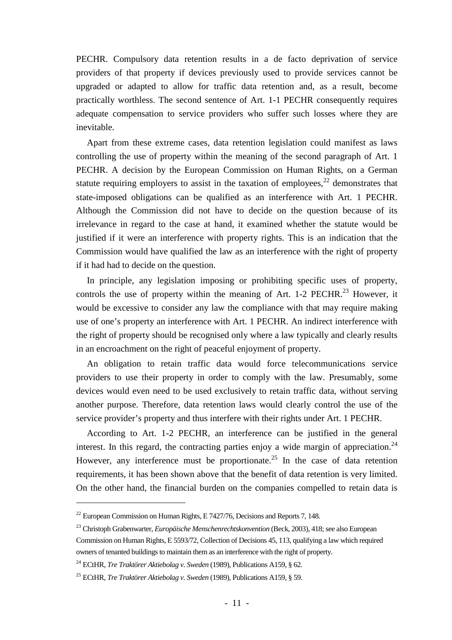PECHR. Compulsory data retention results in a de facto deprivation of service providers of that property if devices previously used to provide services cannot be upgraded or adapted to allow for traffic data retention and, as a result, become practically worthless. The second sentence of Art. 1-1 PECHR consequently requires adequate compensation to service providers who suffer such losses where they are inevitable.

Apart from these extreme cases, data retention legislation could manifest as laws controlling the use of property within the meaning of the second paragraph of Art. 1 PECHR. A decision by the European Commission on Human Rights, on a German statute requiring employers to assist in the taxation of employees,  $^{22}$  demonstrates that state-imposed obligations can be qualified as an interference with Art. 1 PECHR. Although the Commission did not have to decide on the question because of its irrelevance in regard to the case at hand, it examined whether the statute would be justified if it were an interference with property rights. This is an indication that the Commission would have qualified the law as an interference with the right of property if it had had to decide on the question.

In principle, any legislation imposing or prohibiting specific uses of property, controls the use of property within the meaning of Art. 1-2  $PECHR<sup>23</sup>$  However, it would be excessive to consider any law the compliance with that may require making use of one's property an interference with Art. 1 PECHR. An indirect interference with the right of property should be recognised only where a law typically and clearly results in an encroachment on the right of peaceful enjoyment of property.

An obligation to retain traffic data would force telecommunications service providers to use their property in order to comply with the law. Presumably, some devices would even need to be used exclusively to retain traffic data, without serving another purpose. Therefore, data retention laws would clearly control the use of the service provider's property and thus interfere with their rights under Art. 1 PECHR.

According to Art. 1-2 PECHR, an interference can be justified in the general interest. In this regard, the contracting parties enjoy a wide margin of appreciation.<sup>24</sup> However, any interference must be proportionate.<sup>25</sup> In the case of data retention requirements, it has been shown above that the benefit of data retention is very limited. On the other hand, the financial burden on the companies compelled to retain data is

 $^{22}$  European Commission on Human Rights, E 7427/76, Decisions and Reports 7, 148.

<sup>23</sup> Christoph Grabenwarter, *Europäische Menschenrechtskonvention* (Beck, 2003), 418; see also European Commission on Human Rights, E 5593/72, Collection of Decisions 45, 113, qualifying a law which required owners of tenanted buildings to maintain them as an interference with the right of property.

<sup>24</sup> ECtHR, *Tre Traktörer Aktiebolag v. Sweden* (1989), Publications A159, § 62.

<sup>25</sup> ECtHR, *Tre Traktörer Aktiebolag v. Sweden* (1989), Publications A159, § 59.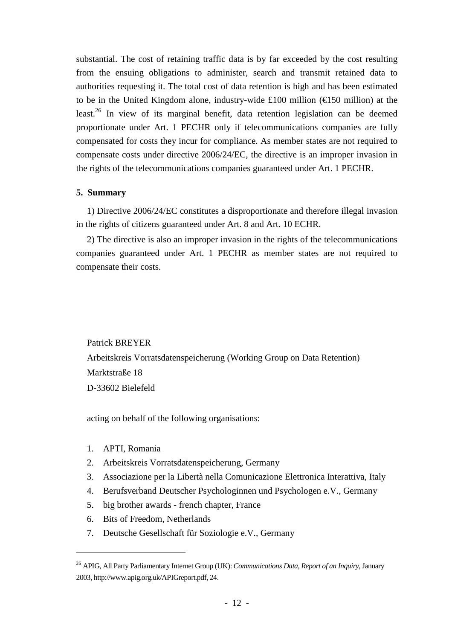substantial. The cost of retaining traffic data is by far exceeded by the cost resulting from the ensuing obligations to administer, search and transmit retained data to authorities requesting it. The total cost of data retention is high and has been estimated to be in the United Kingdom alone, industry-wide £100 million ( $\epsilon$ 150 million) at the least.<sup>26</sup> In view of its marginal benefit, data retention legislation can be deemed proportionate under Art. 1 PECHR only if telecommunications companies are fully compensated for costs they incur for compliance. As member states are not required to compensate costs under directive 2006/24/EC, the directive is an improper invasion in the rights of the telecommunications companies guaranteed under Art. 1 PECHR.

### **5. Summary**

1) Directive 2006/24/EC constitutes a disproportionate and therefore illegal invasion in the rights of citizens guaranteed under Art. 8 and Art. 10 ECHR.

2) The directive is also an improper invasion in the rights of the telecommunications companies guaranteed under Art. 1 PECHR as member states are not required to compensate their costs.

### Patrick BREYER

Arbeitskreis Vorratsdatenspeicherung (Working Group on Data Retention) Marktstraße 18 D-33602 Bielefeld

acting on behalf of the following organisations:

1. APTI, Romania

- 2. Arbeitskreis Vorratsdatenspeicherung, Germany
- 3. Associazione per la Libertà nella Comunicazione Elettronica Interattiva, Italy
- 4. Berufsverband Deutscher Psychologinnen und Psychologen e.V., Germany
- 5. big brother awards french chapter, France
- 6. Bits of Freedom, Netherlands
- 7. Deutsche Gesellschaft für Soziologie e.V., Germany

<sup>26</sup> APIG, All Party Parliamentary Internet Group (UK): *Communications Data, Report of an Inquiry*, January 2003, http://www.apig.org.uk/APIGreport.pdf, 24.